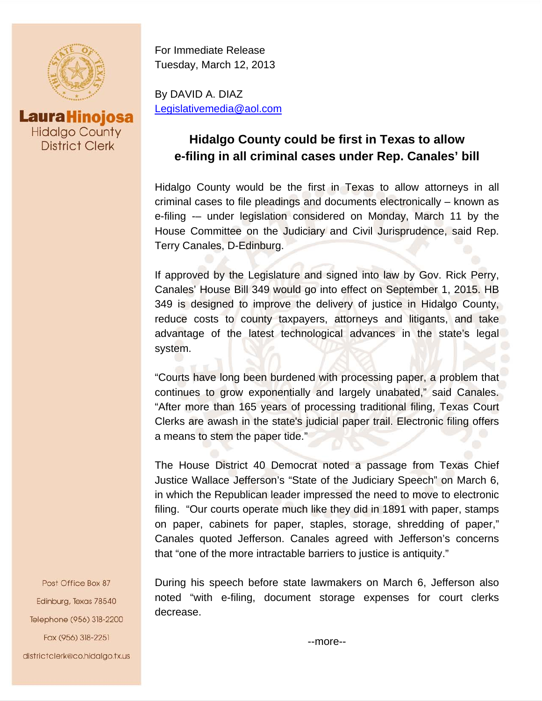

**Laura Hinojosa Hidalgo County District Clerk** 

For Immediate Release Tuesday, March 12, 2013

By DAVID A. DIAZ Legislativemedia@aol.com

## **Hidalgo County could be first in Texas to allow e-filing in all criminal cases under Rep. Canales' bill**

Hidalgo County would be the first in Texas to allow attorneys in all criminal cases to file pleadings and documents electronically – known as e-filing -– under legislation considered on Monday, March 11 by the House Committee on the Judiciary and Civil Jurisprudence, said Rep. Terry Canales, D-Edinburg.

If approved by the Legislature and signed into law by Gov. Rick Perry, Canales' House Bill 349 would go into effect on September 1, 2015. HB 349 is designed to improve the delivery of justice in Hidalgo County, reduce costs to county taxpayers, attorneys and litigants, and take advantage of the latest technological advances in the state's legal system.

"Courts have long been burdened with processing paper, a problem that continues to grow exponentially and largely unabated," said Canales. "After more than 165 years of processing traditional filing, Texas Court Clerks are awash in the state's judicial paper trail. Electronic filing offers a means to stem the paper tide."

The House District 40 Democrat noted a passage from Texas Chief Justice Wallace Jefferson's "State of the Judiciary Speech" on March 6, in which the Republican leader impressed the need to move to electronic filing. "Our courts operate much like they did in 1891 with paper, stamps on paper, cabinets for paper, staples, storage, shredding of paper," Canales quoted Jefferson. Canales agreed with Jefferson's concerns that "one of the more intractable barriers to justice is antiquity."

During his speech before state lawmakers on March 6, Jefferson also noted "with e-filing, document storage expenses for court clerks decrease.

Post Office Box 87 Edinburg, Texas 78540 Telephone (956) 318-2200 Fax (956) 318-2251 districtclerk@co.hidalgo.tx.us

--more--